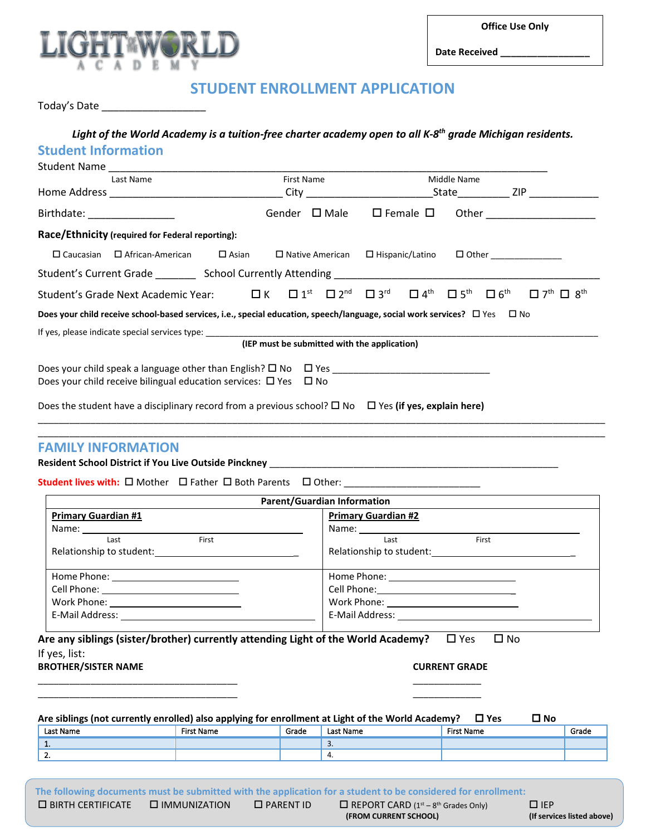



**Date Received \_\_\_\_\_\_\_\_\_\_\_\_\_\_\_\_\_**

## **STUDENT ENROLLMENT APPLICATION**

Today's Date \_\_\_\_\_\_\_\_\_\_\_\_\_\_\_\_\_\_

### *Light of the World Academy is a tuition-free charter academy open to all K-8th grade Michigan residents.* **Student Information**

|                                | Student Name Name All Allen Andrew Manual Allen All Allen Andrew Manual All                                                                                                             |                                                                                                               |                                              |             |  |  |  |                                                                    |
|--------------------------------|-----------------------------------------------------------------------------------------------------------------------------------------------------------------------------------------|---------------------------------------------------------------------------------------------------------------|----------------------------------------------|-------------|--|--|--|--------------------------------------------------------------------|
|                                | Last Name                                                                                                                                                                               | First Name and the state of the state of the state of the state of the state of the state of the state of the |                                              | Middle Name |  |  |  |                                                                    |
|                                |                                                                                                                                                                                         |                                                                                                               |                                              |             |  |  |  |                                                                    |
| Birthdate: ___________________ |                                                                                                                                                                                         |                                                                                                               |                                              |             |  |  |  | Gender $\Box$ Male $\Box$ Female $\Box$ Other ____________________ |
|                                | Race/Ethnicity (required for Federal reporting):                                                                                                                                        |                                                                                                               |                                              |             |  |  |  |                                                                    |
|                                | ロ Caucasian ロ African-American ロ Asian ロ Native American ロ Hispanic/Latino ロ Other _______________                                                                                      |                                                                                                               |                                              |             |  |  |  |                                                                    |
|                                |                                                                                                                                                                                         |                                                                                                               |                                              |             |  |  |  |                                                                    |
|                                | Student's Grade Next Academic Year: □ K □ 1 <sup>st</sup> □ 2 <sup>nd</sup> □ 3 <sup>rd</sup> □ 4 <sup>th</sup> □ 5 <sup>th</sup> □ 6 <sup>th</sup> □ 7 <sup>th</sup> □ 8 <sup>th</sup> |                                                                                                               |                                              |             |  |  |  |                                                                    |
|                                | Does your child receive school-based services, i.e., special education, speech/language, social work services? $\Box$ Yes $\Box$ No                                                     |                                                                                                               |                                              |             |  |  |  |                                                                    |
|                                | If yes, please indicate special services type: North and the services of the services of the services of the s                                                                          |                                                                                                               |                                              |             |  |  |  |                                                                    |
|                                |                                                                                                                                                                                         |                                                                                                               | (IEP must be submitted with the application) |             |  |  |  |                                                                    |
|                                |                                                                                                                                                                                         |                                                                                                               |                                              |             |  |  |  |                                                                    |
|                                | Does your child receive bilingual education services: $\Box$ Yes $\Box$ No                                                                                                              |                                                                                                               |                                              |             |  |  |  |                                                                    |
|                                | Does the student have a disciplinary record from a previous school? $\square$ No $\square$ Yes (if ves. explain here)                                                                   |                                                                                                               |                                              |             |  |  |  |                                                                    |

\_\_\_\_\_\_\_\_\_\_\_\_\_\_\_\_\_\_\_\_\_\_\_\_\_\_\_\_\_\_\_\_\_\_\_\_\_\_\_\_\_\_\_\_\_\_\_\_\_\_\_\_\_\_\_\_\_\_\_\_\_\_\_\_\_\_\_\_\_\_\_\_\_\_\_\_\_\_\_\_\_\_\_\_\_\_\_\_\_\_\_\_\_\_\_\_\_\_\_\_\_\_\_\_\_\_\_\_ \_\_\_\_\_\_\_\_\_\_\_\_\_\_\_\_\_\_\_\_\_\_\_\_\_\_\_\_\_\_\_\_\_\_\_\_\_\_\_\_\_\_\_\_\_\_\_\_\_\_\_\_\_\_\_\_\_\_\_\_\_\_\_\_\_\_\_\_\_\_\_\_\_\_\_\_\_\_\_\_\_\_\_\_\_\_\_\_\_\_\_\_\_\_\_\_\_\_\_\_\_\_\_\_\_\_\_\_

#### **FAMILY INFORMATION**

#### **Resident School District if You Live Outside Pinckney** \_\_\_\_\_\_\_\_\_\_\_\_\_\_\_\_\_\_\_\_\_\_\_\_\_\_\_\_\_\_\_\_\_\_\_\_\_\_\_\_\_\_\_\_\_\_\_\_\_\_\_\_\_\_\_

Student lives with:  $\square$  Mother  $\square$  Father  $\square$  Both Parents  $\square$  Other: \_\_\_\_\_\_\_\_\_\_\_\_\_\_\_\_\_\_\_\_\_\_\_\_\_\_

| <b>Parent/Guardian Information</b>                                                                                                                                                                                                    |                                                                                                                                                                                                                                |  |  |  |  |
|---------------------------------------------------------------------------------------------------------------------------------------------------------------------------------------------------------------------------------------|--------------------------------------------------------------------------------------------------------------------------------------------------------------------------------------------------------------------------------|--|--|--|--|
| <b>Primary Guardian #1</b>                                                                                                                                                                                                            | <b>Primary Guardian #2</b>                                                                                                                                                                                                     |  |  |  |  |
|                                                                                                                                                                                                                                       | Name: Name and the state of the state of the state of the state of the state of the state of the state of the state of the state of the state of the state of the state of the state of the state of the state of the state of |  |  |  |  |
| First<br>Last                                                                                                                                                                                                                         | Last<br>First                                                                                                                                                                                                                  |  |  |  |  |
| Relationship to student:<br><u>Lettin and the student</u> of the students of the students of the students of the students of the students of the students of the students of the students of the students of the students of the stud | Relationship to student:<br><u>Letter and the students</u>                                                                                                                                                                     |  |  |  |  |
|                                                                                                                                                                                                                                       | Home Phone: New York Contract Contract Contract Contract Contract Contract Contract Contract Contract Contract Contract Contract Contract Contract Contract Contract Contract Contract Contract Contract Contract Contract Con |  |  |  |  |
|                                                                                                                                                                                                                                       |                                                                                                                                                                                                                                |  |  |  |  |
|                                                                                                                                                                                                                                       |                                                                                                                                                                                                                                |  |  |  |  |
|                                                                                                                                                                                                                                       |                                                                                                                                                                                                                                |  |  |  |  |

**Are any siblings (sister/brother) currently attending Light of the World Academy?** □ Yes □ No If yes, list:

\_\_\_\_\_\_\_\_\_\_\_\_\_\_\_\_\_\_\_\_\_\_\_\_\_\_\_\_\_\_\_\_\_\_\_\_\_\_ \_\_\_\_\_\_\_\_\_\_\_\_\_ \_\_\_\_\_\_\_\_\_\_\_\_\_\_\_\_\_\_\_\_\_\_\_\_\_\_\_\_\_\_\_\_\_\_\_\_\_\_ \_\_\_\_\_\_\_\_\_\_\_\_\_

#### **BROTHER/SISTER NAME CURRENT GRADE**

| Are siblings (not currently enrolled) also applying for enrollment at Light of the World Academy?<br>ON C<br>$\Box$ Yes |                   |       |           |            |       |  |  |
|-------------------------------------------------------------------------------------------------------------------------|-------------------|-------|-----------|------------|-------|--|--|
| Last Name                                                                                                               | <b>First Name</b> | Grade | Last Name | First Name | Grade |  |  |
|                                                                                                                         |                   |       | J.        |            |       |  |  |
|                                                                                                                         |                   |       |           |            |       |  |  |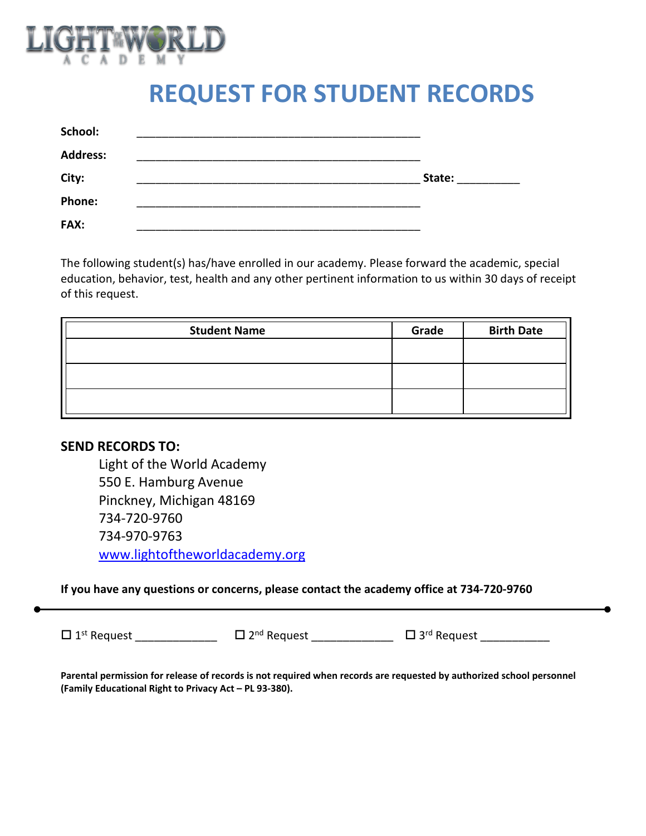

# **REQUEST FOR STUDENT RECORDS**

| School:         |        |
|-----------------|--------|
| <b>Address:</b> |        |
| City:           | State: |
| <b>Phone:</b>   |        |
| <b>FAX:</b>     |        |

The following student(s) has/have enrolled in our academy. Please forward the academic, special education, behavior, test, health and any other pertinent information to us within 30 days of receipt of this request.

| <b>Student Name</b> | Grade | <b>Birth Date</b> |
|---------------------|-------|-------------------|
|                     |       |                   |
|                     |       |                   |
|                     |       |                   |
|                     |       |                   |

## **SEND RECORDS TO:**

Light of the World Academy 550 E. Hamburg Avenue Pinckney, Michigan 48169 734-720-9760 734-970-9763 [www.lightoftheworldacademy.org](http://www.lightoftheworldacademy.org/)

### **If you have any questions or concerns, please contact the academy office at 734-720-9760**

 $\Box$  1<sup>st</sup> Request \_\_\_\_\_\_\_\_\_\_\_\_\_\_\_\_  $\Box$  2<sup>nd</sup> Request \_\_\_\_\_\_\_\_\_\_\_\_\_\_  $\Box$  3<sup>rd</sup> Request \_\_\_\_\_\_\_\_\_\_\_\_

**Parental permission for release of records is not required when records are requested by authorized school personnel (Family Educational Right to Privacy Act – PL 93-380).**